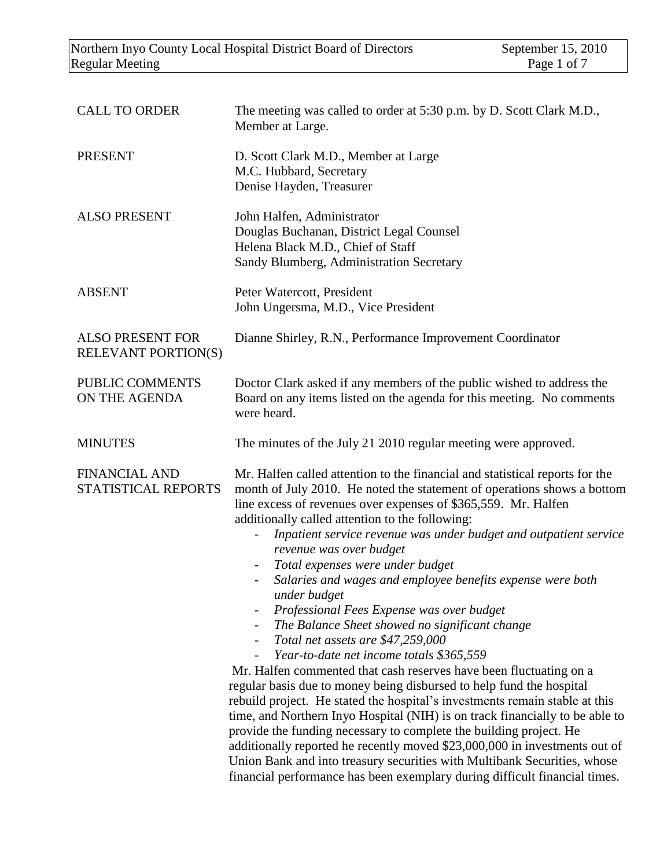| <b>CALL TO ORDER</b>                                  | The meeting was called to order at 5:30 p.m. by D. Scott Clark M.D.,<br>Member at Large.                                                                                                                                                                                                                                                                                                                                                                                                                                                                                                                                                                                                                                                                                                                                                                                                                                                                                                                                                                                                                                                                                                                                                                                                                                                                                                   |
|-------------------------------------------------------|--------------------------------------------------------------------------------------------------------------------------------------------------------------------------------------------------------------------------------------------------------------------------------------------------------------------------------------------------------------------------------------------------------------------------------------------------------------------------------------------------------------------------------------------------------------------------------------------------------------------------------------------------------------------------------------------------------------------------------------------------------------------------------------------------------------------------------------------------------------------------------------------------------------------------------------------------------------------------------------------------------------------------------------------------------------------------------------------------------------------------------------------------------------------------------------------------------------------------------------------------------------------------------------------------------------------------------------------------------------------------------------------|
| <b>PRESENT</b>                                        | D. Scott Clark M.D., Member at Large<br>M.C. Hubbard, Secretary<br>Denise Hayden, Treasurer                                                                                                                                                                                                                                                                                                                                                                                                                                                                                                                                                                                                                                                                                                                                                                                                                                                                                                                                                                                                                                                                                                                                                                                                                                                                                                |
| <b>ALSO PRESENT</b>                                   | John Halfen, Administrator<br>Douglas Buchanan, District Legal Counsel<br>Helena Black M.D., Chief of Staff<br>Sandy Blumberg, Administration Secretary                                                                                                                                                                                                                                                                                                                                                                                                                                                                                                                                                                                                                                                                                                                                                                                                                                                                                                                                                                                                                                                                                                                                                                                                                                    |
| <b>ABSENT</b>                                         | Peter Watercott, President<br>John Ungersma, M.D., Vice President                                                                                                                                                                                                                                                                                                                                                                                                                                                                                                                                                                                                                                                                                                                                                                                                                                                                                                                                                                                                                                                                                                                                                                                                                                                                                                                          |
| <b>ALSO PRESENT FOR</b><br><b>RELEVANT PORTION(S)</b> | Dianne Shirley, R.N., Performance Improvement Coordinator                                                                                                                                                                                                                                                                                                                                                                                                                                                                                                                                                                                                                                                                                                                                                                                                                                                                                                                                                                                                                                                                                                                                                                                                                                                                                                                                  |
| PUBLIC COMMENTS<br>ON THE AGENDA                      | Doctor Clark asked if any members of the public wished to address the<br>Board on any items listed on the agenda for this meeting. No comments<br>were heard.                                                                                                                                                                                                                                                                                                                                                                                                                                                                                                                                                                                                                                                                                                                                                                                                                                                                                                                                                                                                                                                                                                                                                                                                                              |
| <b>MINUTES</b>                                        | The minutes of the July 21 2010 regular meeting were approved.                                                                                                                                                                                                                                                                                                                                                                                                                                                                                                                                                                                                                                                                                                                                                                                                                                                                                                                                                                                                                                                                                                                                                                                                                                                                                                                             |
| <b>FINANCIAL AND</b><br>STATISTICAL REPORTS           | Mr. Halfen called attention to the financial and statistical reports for the<br>month of July 2010. He noted the statement of operations shows a bottom<br>line excess of revenues over expenses of \$365,559. Mr. Halfen<br>additionally called attention to the following:<br>Inpatient service revenue was under budget and outpatient service<br>$\overline{\phantom{0}}$<br>revenue was over budget<br>Total expenses were under budget<br>Salaries and wages and employee benefits expense were both<br>$\qquad \qquad \blacksquare$<br>under budget<br>Professional Fees Expense was over budget<br>The Balance Sheet showed no significant change<br>Total net assets are \$47,259,000<br>$\qquad \qquad -$<br>Year-to-date net income totals \$365,559<br>Mr. Halfen commented that cash reserves have been fluctuating on a<br>regular basis due to money being disbursed to help fund the hospital<br>rebuild project. He stated the hospital's investments remain stable at this<br>time, and Northern Inyo Hospital (NIH) is on track financially to be able to<br>provide the funding necessary to complete the building project. He<br>additionally reported he recently moved \$23,000,000 in investments out of<br>Union Bank and into treasury securities with Multibank Securities, whose<br>financial performance has been exemplary during difficult financial times. |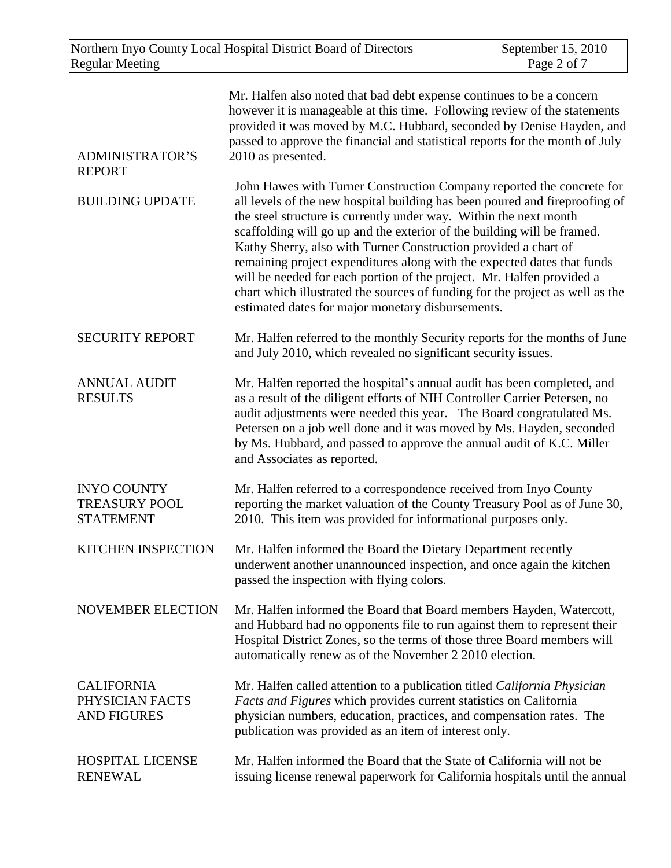| <b>ADMINISTRATOR'S</b><br><b>REPORT</b>                        | Mr. Halfen also noted that bad debt expense continues to be a concern<br>however it is manageable at this time. Following review of the statements<br>provided it was moved by M.C. Hubbard, seconded by Denise Hayden, and<br>passed to approve the financial and statistical reports for the month of July<br>2010 as presented.                                                                                                                                                                                                                                                                                                                                |
|----------------------------------------------------------------|-------------------------------------------------------------------------------------------------------------------------------------------------------------------------------------------------------------------------------------------------------------------------------------------------------------------------------------------------------------------------------------------------------------------------------------------------------------------------------------------------------------------------------------------------------------------------------------------------------------------------------------------------------------------|
| <b>BUILDING UPDATE</b>                                         | John Hawes with Turner Construction Company reported the concrete for<br>all levels of the new hospital building has been poured and fireproofing of<br>the steel structure is currently under way. Within the next month<br>scaffolding will go up and the exterior of the building will be framed.<br>Kathy Sherry, also with Turner Construction provided a chart of<br>remaining project expenditures along with the expected dates that funds<br>will be needed for each portion of the project. Mr. Halfen provided a<br>chart which illustrated the sources of funding for the project as well as the<br>estimated dates for major monetary disbursements. |
| <b>SECURITY REPORT</b>                                         | Mr. Halfen referred to the monthly Security reports for the months of June<br>and July 2010, which revealed no significant security issues.                                                                                                                                                                                                                                                                                                                                                                                                                                                                                                                       |
| <b>ANNUAL AUDIT</b><br><b>RESULTS</b>                          | Mr. Halfen reported the hospital's annual audit has been completed, and<br>as a result of the diligent efforts of NIH Controller Carrier Petersen, no<br>audit adjustments were needed this year. The Board congratulated Ms.<br>Petersen on a job well done and it was moved by Ms. Hayden, seconded<br>by Ms. Hubbard, and passed to approve the annual audit of K.C. Miller<br>and Associates as reported.                                                                                                                                                                                                                                                     |
| <b>INYO COUNTY</b><br><b>TREASURY POOL</b><br><b>STATEMENT</b> | Mr. Halfen referred to a correspondence received from Inyo County<br>reporting the market valuation of the County Treasury Pool as of June 30,<br>2010. This item was provided for informational purposes only.                                                                                                                                                                                                                                                                                                                                                                                                                                                   |
| <b>KITCHEN INSPECTION</b>                                      | Mr. Halfen informed the Board the Dietary Department recently<br>underwent another unannounced inspection, and once again the kitchen<br>passed the inspection with flying colors.                                                                                                                                                                                                                                                                                                                                                                                                                                                                                |
| <b>NOVEMBER ELECTION</b>                                       | Mr. Halfen informed the Board that Board members Hayden, Watercott,<br>and Hubbard had no opponents file to run against them to represent their<br>Hospital District Zones, so the terms of those three Board members will<br>automatically renew as of the November 2 2010 election.                                                                                                                                                                                                                                                                                                                                                                             |
| <b>CALIFORNIA</b><br>PHYSICIAN FACTS<br><b>AND FIGURES</b>     | Mr. Halfen called attention to a publication titled California Physician<br>Facts and Figures which provides current statistics on California<br>physician numbers, education, practices, and compensation rates. The<br>publication was provided as an item of interest only.                                                                                                                                                                                                                                                                                                                                                                                    |
| <b>HOSPITAL LICENSE</b><br><b>RENEWAL</b>                      | Mr. Halfen informed the Board that the State of California will not be<br>issuing license renewal paperwork for California hospitals until the annual                                                                                                                                                                                                                                                                                                                                                                                                                                                                                                             |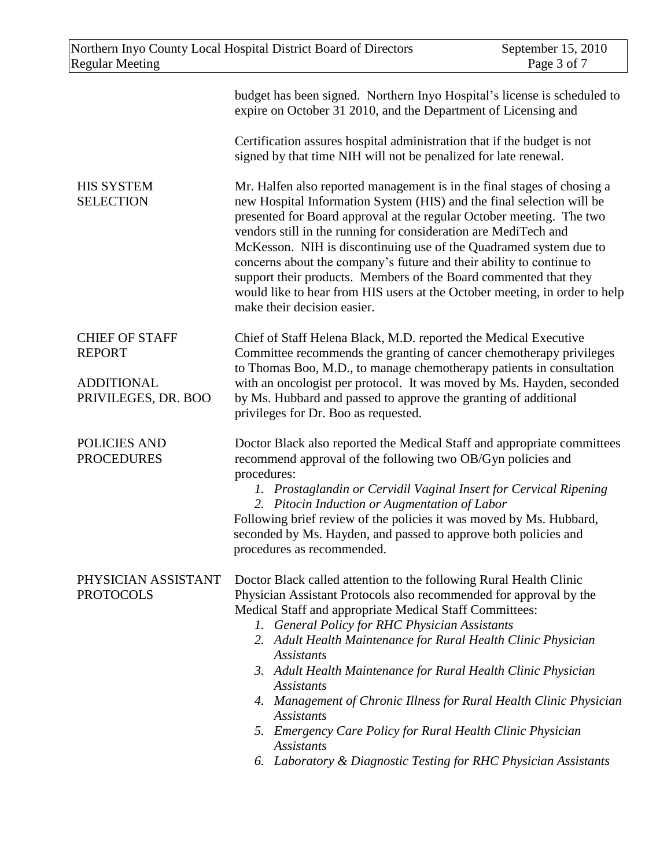|                                          | budget has been signed. Northern Inyo Hospital's license is scheduled to<br>expire on October 31 2010, and the Department of Licensing and                                                                                                                                                                                                                                                                                                                                                                                                                                                                                |
|------------------------------------------|---------------------------------------------------------------------------------------------------------------------------------------------------------------------------------------------------------------------------------------------------------------------------------------------------------------------------------------------------------------------------------------------------------------------------------------------------------------------------------------------------------------------------------------------------------------------------------------------------------------------------|
|                                          | Certification assures hospital administration that if the budget is not<br>signed by that time NIH will not be penalized for late renewal.                                                                                                                                                                                                                                                                                                                                                                                                                                                                                |
| <b>HIS SYSTEM</b><br><b>SELECTION</b>    | Mr. Halfen also reported management is in the final stages of chosing a<br>new Hospital Information System (HIS) and the final selection will be<br>presented for Board approval at the regular October meeting. The two<br>vendors still in the running for consideration are MediTech and<br>McKesson. NIH is discontinuing use of the Quadramed system due to<br>concerns about the company's future and their ability to continue to<br>support their products. Members of the Board commented that they<br>would like to hear from HIS users at the October meeting, in order to help<br>make their decision easier. |
| <b>CHIEF OF STAFF</b><br><b>REPORT</b>   | Chief of Staff Helena Black, M.D. reported the Medical Executive<br>Committee recommends the granting of cancer chemotherapy privileges<br>to Thomas Boo, M.D., to manage chemotherapy patients in consultation                                                                                                                                                                                                                                                                                                                                                                                                           |
| <b>ADDITIONAL</b><br>PRIVILEGES, DR. BOO | with an oncologist per protocol. It was moved by Ms. Hayden, seconded<br>by Ms. Hubbard and passed to approve the granting of additional<br>privileges for Dr. Boo as requested.                                                                                                                                                                                                                                                                                                                                                                                                                                          |
| <b>POLICIES AND</b><br><b>PROCEDURES</b> | Doctor Black also reported the Medical Staff and appropriate committees<br>recommend approval of the following two OB/Gyn policies and<br>procedures:<br>1. Prostaglandin or Cervidil Vaginal Insert for Cervical Ripening<br>2. Pitocin Induction or Augmentation of Labor<br>Following brief review of the policies it was moved by Ms. Hubbard,<br>seconded by Ms. Hayden, and passed to approve both policies and<br>procedures as recommended.                                                                                                                                                                       |
| PHYSICIAN ASSISTANT<br><b>PROTOCOLS</b>  | Doctor Black called attention to the following Rural Health Clinic<br>Physician Assistant Protocols also recommended for approval by the<br>Medical Staff and appropriate Medical Staff Committees:<br>1. General Policy for RHC Physician Assistants<br>2. Adult Health Maintenance for Rural Health Clinic Physician<br><i>Assistants</i><br>3. Adult Health Maintenance for Rural Health Clinic Physician<br><b>Assistants</b><br>4. Management of Chronic Illness for Rural Health Clinic Physician<br><b>Assistants</b><br>5. Emergency Care Policy for Rural Health Clinic Physician<br><b>Assistants</b>           |
|                                          | Laboratory & Diagnostic Testing for RHC Physician Assistants<br>6.                                                                                                                                                                                                                                                                                                                                                                                                                                                                                                                                                        |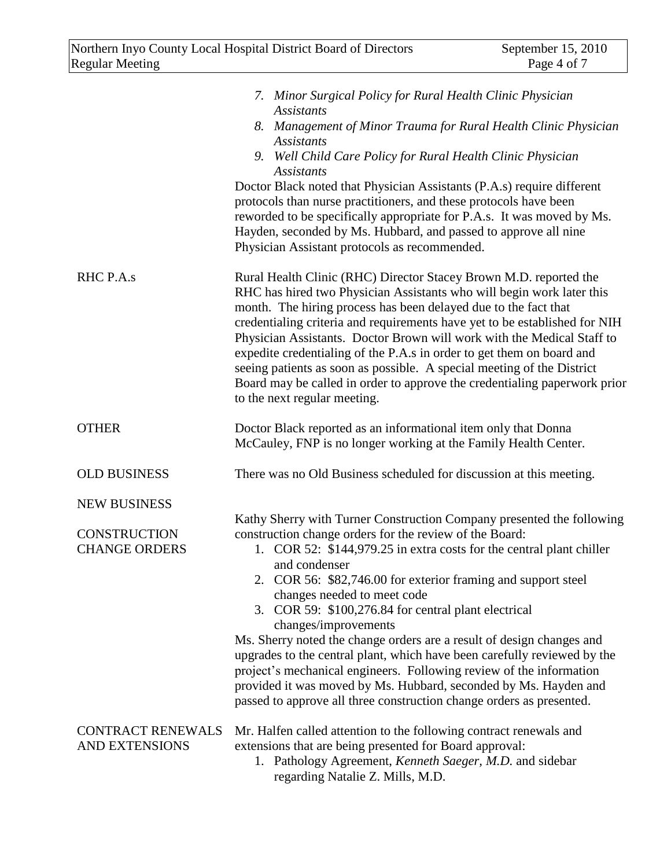|                                                                    | 7. Minor Surgical Policy for Rural Health Clinic Physician<br><b>Assistants</b><br>8. Management of Minor Trauma for Rural Health Clinic Physician<br><b>Assistants</b><br>9. Well Child Care Policy for Rural Health Clinic Physician<br><b>Assistants</b><br>Doctor Black noted that Physician Assistants (P.A.s) require different<br>protocols than nurse practitioners, and these protocols have been<br>reworded to be specifically appropriate for P.A.s. It was moved by Ms.<br>Hayden, seconded by Ms. Hubbard, and passed to approve all nine<br>Physician Assistant protocols as recommended.                                                                                                                                                                          |
|--------------------------------------------------------------------|-----------------------------------------------------------------------------------------------------------------------------------------------------------------------------------------------------------------------------------------------------------------------------------------------------------------------------------------------------------------------------------------------------------------------------------------------------------------------------------------------------------------------------------------------------------------------------------------------------------------------------------------------------------------------------------------------------------------------------------------------------------------------------------|
| RHC P.A.s                                                          | Rural Health Clinic (RHC) Director Stacey Brown M.D. reported the<br>RHC has hired two Physician Assistants who will begin work later this<br>month. The hiring process has been delayed due to the fact that<br>credentialing criteria and requirements have yet to be established for NIH<br>Physician Assistants. Doctor Brown will work with the Medical Staff to<br>expedite credentialing of the P.A.s in order to get them on board and<br>seeing patients as soon as possible. A special meeting of the District<br>Board may be called in order to approve the credentialing paperwork prior<br>to the next regular meeting.                                                                                                                                             |
| <b>OTHER</b>                                                       | Doctor Black reported as an informational item only that Donna<br>McCauley, FNP is no longer working at the Family Health Center.                                                                                                                                                                                                                                                                                                                                                                                                                                                                                                                                                                                                                                                 |
| <b>OLD BUSINESS</b>                                                | There was no Old Business scheduled for discussion at this meeting.                                                                                                                                                                                                                                                                                                                                                                                                                                                                                                                                                                                                                                                                                                               |
| <b>NEW BUSINESS</b><br><b>CONSTRUCTION</b><br><b>CHANGE ORDERS</b> | Kathy Sherry with Turner Construction Company presented the following<br>construction change orders for the review of the Board:<br>1. COR 52: \$144,979.25 in extra costs for the central plant chiller<br>and condenser<br>2. COR 56: \$82,746.00 for exterior framing and support steel<br>changes needed to meet code<br>3. COR 59: \$100,276.84 for central plant electrical<br>changes/improvements<br>Ms. Sherry noted the change orders are a result of design changes and<br>upgrades to the central plant, which have been carefully reviewed by the<br>project's mechanical engineers. Following review of the information<br>provided it was moved by Ms. Hubbard, seconded by Ms. Hayden and<br>passed to approve all three construction change orders as presented. |
| <b>CONTRACT RENEWALS</b><br>AND EXTENSIONS                         | Mr. Halfen called attention to the following contract renewals and<br>extensions that are being presented for Board approval:<br>1. Pathology Agreement, Kenneth Saeger, M.D. and sidebar<br>regarding Natalie Z. Mills, M.D.                                                                                                                                                                                                                                                                                                                                                                                                                                                                                                                                                     |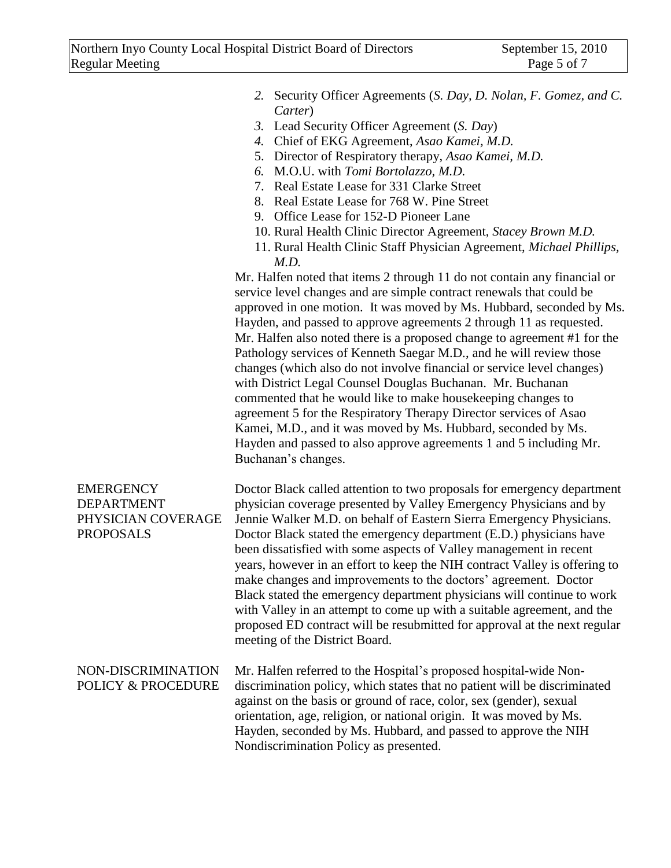|                                                                          | 2. Security Officer Agreements (S. Day, D. Nolan, F. Gomez, and C.<br>Carter)<br>3. Lead Security Officer Agreement (S. Day)<br>4. Chief of EKG Agreement, Asao Kamei, M.D.<br>5. Director of Respiratory therapy, Asao Kamei, M.D.<br>6. M.O.U. with Tomi Bortolazzo, M.D.<br>7. Real Estate Lease for 331 Clarke Street<br>8. Real Estate Lease for 768 W. Pine Street<br>9. Office Lease for 152-D Pioneer Lane<br>10. Rural Health Clinic Director Agreement, Stacey Brown M.D.<br>11. Rural Health Clinic Staff Physician Agreement, Michael Phillips,<br>M.D.<br>Mr. Halfen noted that items 2 through 11 do not contain any financial or<br>service level changes and are simple contract renewals that could be<br>approved in one motion. It was moved by Ms. Hubbard, seconded by Ms.<br>Hayden, and passed to approve agreements 2 through 11 as requested.<br>Mr. Halfen also noted there is a proposed change to agreement #1 for the<br>Pathology services of Kenneth Saegar M.D., and he will review those<br>changes (which also do not involve financial or service level changes)<br>with District Legal Counsel Douglas Buchanan. Mr. Buchanan<br>commented that he would like to make house keeping changes to<br>agreement 5 for the Respiratory Therapy Director services of Asao<br>Kamei, M.D., and it was moved by Ms. Hubbard, seconded by Ms.<br>Hayden and passed to also approve agreements 1 and 5 including Mr.<br>Buchanan's changes. |
|--------------------------------------------------------------------------|-----------------------------------------------------------------------------------------------------------------------------------------------------------------------------------------------------------------------------------------------------------------------------------------------------------------------------------------------------------------------------------------------------------------------------------------------------------------------------------------------------------------------------------------------------------------------------------------------------------------------------------------------------------------------------------------------------------------------------------------------------------------------------------------------------------------------------------------------------------------------------------------------------------------------------------------------------------------------------------------------------------------------------------------------------------------------------------------------------------------------------------------------------------------------------------------------------------------------------------------------------------------------------------------------------------------------------------------------------------------------------------------------------------------------------------------------------------------------|
| <b>EMERGENCY</b><br>DEPARTMENT<br>PHYSICIAN COVERAGE<br><b>PROPOSALS</b> | Doctor Black called attention to two proposals for emergency department<br>physician coverage presented by Valley Emergency Physicians and by<br>Jennie Walker M.D. on behalf of Eastern Sierra Emergency Physicians.<br>Doctor Black stated the emergency department (E.D.) physicians have<br>been dissatisfied with some aspects of Valley management in recent<br>years, however in an effort to keep the NIH contract Valley is offering to<br>make changes and improvements to the doctors' agreement. Doctor<br>Black stated the emergency department physicians will continue to work<br>with Valley in an attempt to come up with a suitable agreement, and the<br>proposed ED contract will be resubmitted for approval at the next regular<br>meeting of the District Board.                                                                                                                                                                                                                                                                                                                                                                                                                                                                                                                                                                                                                                                                               |
| NON-DISCRIMINATION<br>POLICY & PROCEDURE                                 | Mr. Halfen referred to the Hospital's proposed hospital-wide Non-<br>discrimination policy, which states that no patient will be discriminated<br>against on the basis or ground of race, color, sex (gender), sexual<br>orientation, age, religion, or national origin. It was moved by Ms.<br>Hayden, seconded by Ms. Hubbard, and passed to approve the NIH<br>Nondiscrimination Policy as presented.                                                                                                                                                                                                                                                                                                                                                                                                                                                                                                                                                                                                                                                                                                                                                                                                                                                                                                                                                                                                                                                              |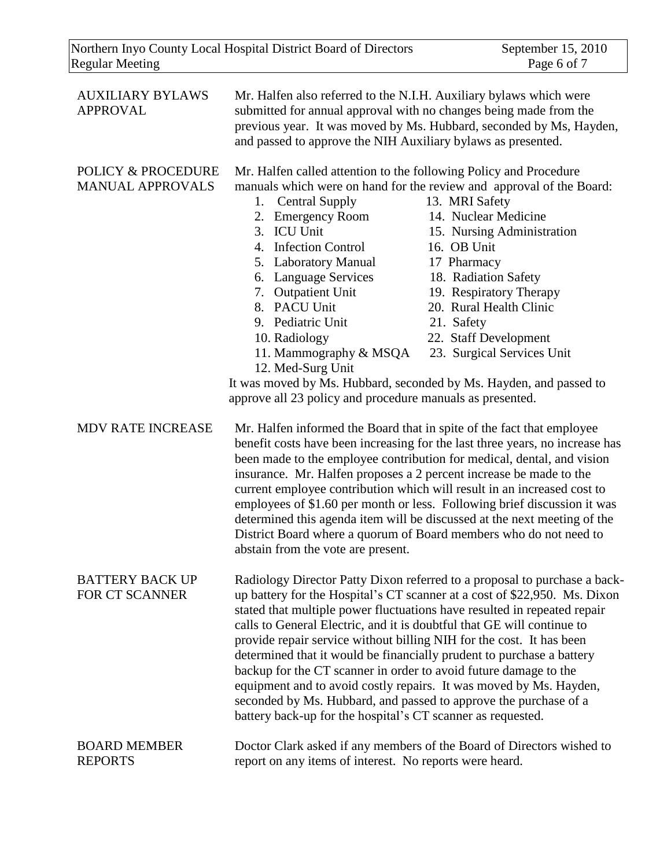| <b>AUXILIARY BYLAWS</b><br><b>APPROVAL</b>    | Mr. Halfen also referred to the N.I.H. Auxiliary bylaws which were<br>and passed to approve the NIH Auxiliary bylaws as presented.                                                                                                                                                                                                                                                                   | submitted for annual approval with no changes being made from the<br>previous year. It was moved by Ms. Hubbard, seconded by Ms, Hayden,                                                                                                                                                                                                                                                                                                                                                                                                |
|-----------------------------------------------|------------------------------------------------------------------------------------------------------------------------------------------------------------------------------------------------------------------------------------------------------------------------------------------------------------------------------------------------------------------------------------------------------|-----------------------------------------------------------------------------------------------------------------------------------------------------------------------------------------------------------------------------------------------------------------------------------------------------------------------------------------------------------------------------------------------------------------------------------------------------------------------------------------------------------------------------------------|
| POLICY & PROCEDURE<br><b>MANUAL APPROVALS</b> | Mr. Halfen called attention to the following Policy and Procedure<br><b>Central Supply</b><br>1.<br>2. Emergency Room<br>3. ICU Unit<br>4. Infection Control<br>5. Laboratory Manual<br>6. Language Services<br>7. Outpatient Unit<br>8. PACU Unit<br>9. Pediatric Unit<br>10. Radiology<br>11. Mammography & MSQA<br>12. Med-Surg Unit<br>approve all 23 policy and procedure manuals as presented. | manuals which were on hand for the review and approval of the Board:<br>13. MRI Safety<br>14. Nuclear Medicine<br>15. Nursing Administration<br>16. OB Unit<br>17 Pharmacy<br>18. Radiation Safety<br>19. Respiratory Therapy<br>20. Rural Health Clinic<br>21. Safety<br>22. Staff Development<br>23. Surgical Services Unit<br>It was moved by Ms. Hubbard, seconded by Ms. Hayden, and passed to                                                                                                                                     |
| <b>MDV RATE INCREASE</b>                      | insurance. Mr. Halfen proposes a 2 percent increase be made to the<br>abstain from the vote are present.                                                                                                                                                                                                                                                                                             | Mr. Halfen informed the Board that in spite of the fact that employee<br>benefit costs have been increasing for the last three years, no increase has<br>been made to the employee contribution for medical, dental, and vision<br>current employee contribution which will result in an increased cost to<br>employees of \$1.60 per month or less. Following brief discussion it was<br>determined this agenda item will be discussed at the next meeting of the<br>District Board where a quorum of Board members who do not need to |
| <b>BATTERY BACK UP</b><br>FOR CT SCANNER      | calls to General Electric, and it is doubtful that GE will continue to<br>provide repair service without billing NIH for the cost. It has been<br>backup for the CT scanner in order to avoid future damage to the<br>seconded by Ms. Hubbard, and passed to approve the purchase of a<br>battery back-up for the hospital's CT scanner as requested.                                                | Radiology Director Patty Dixon referred to a proposal to purchase a back-<br>up battery for the Hospital's CT scanner at a cost of \$22,950. Ms. Dixon<br>stated that multiple power fluctuations have resulted in repeated repair<br>determined that it would be financially prudent to purchase a battery<br>equipment and to avoid costly repairs. It was moved by Ms. Hayden,                                                                                                                                                       |
| <b>BOARD MEMBER</b><br><b>REPORTS</b>         | report on any items of interest. No reports were heard.                                                                                                                                                                                                                                                                                                                                              | Doctor Clark asked if any members of the Board of Directors wished to                                                                                                                                                                                                                                                                                                                                                                                                                                                                   |